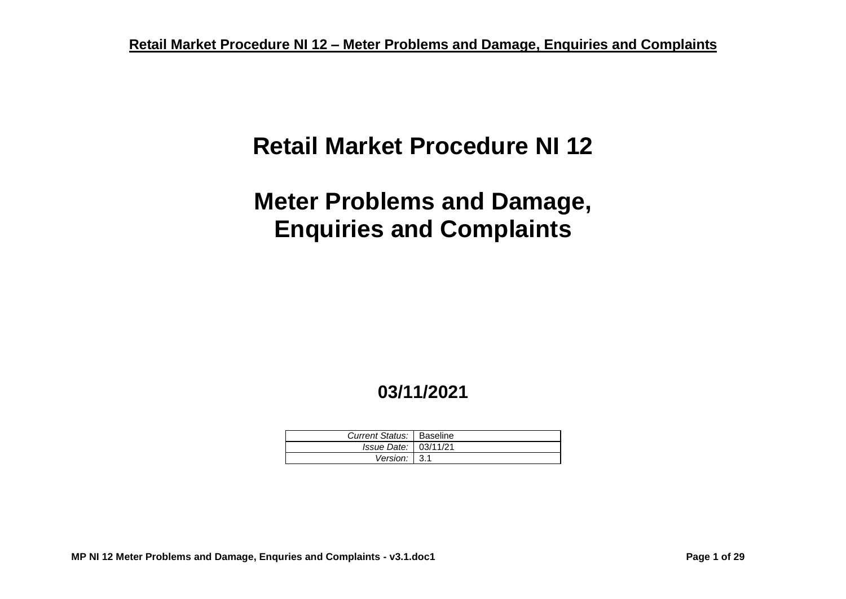# **Retail Market Procedure NI 12**

# **Meter Problems and Damage, Enquiries and Complaints**

# **03/11/2021**

| Current Status:   Baseline |  |
|----------------------------|--|
| Issue Date: 03/11/21       |  |
| Version: $3.1$             |  |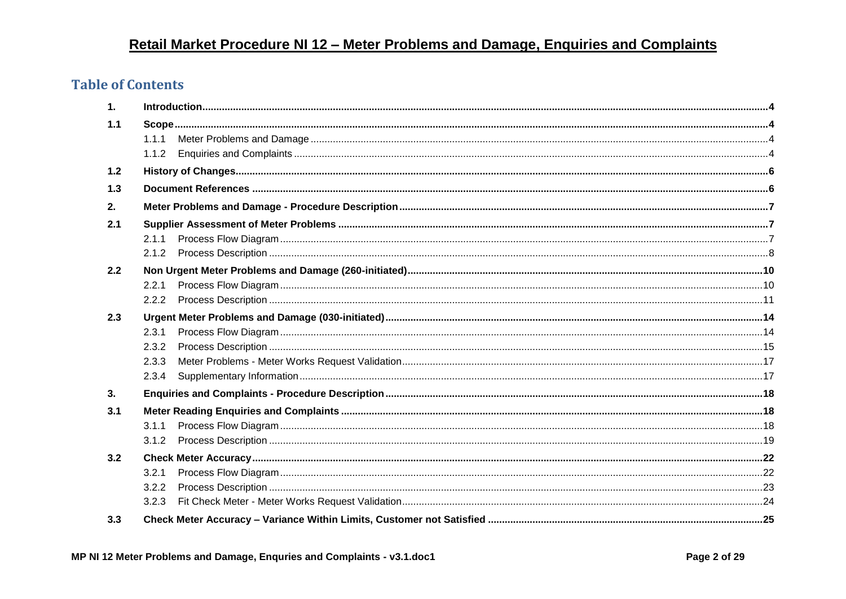### **Table of Contents**

| 1.  |       |  |
|-----|-------|--|
| 1.1 |       |  |
|     | 1.1.1 |  |
|     | 1.1.2 |  |
| 1.2 |       |  |
| 1.3 |       |  |
| 2.  |       |  |
| 2.1 |       |  |
|     | 2.1.1 |  |
|     |       |  |
| 2.2 |       |  |
|     | 2.2.1 |  |
|     | 2.2.2 |  |
| 2.3 |       |  |
|     | 2.3.1 |  |
|     | 2.3.2 |  |
|     | 2.3.3 |  |
|     | 2.3.4 |  |
| 3.  |       |  |
| 3.1 |       |  |
|     | 3.1.1 |  |
|     |       |  |
| 3.2 |       |  |
|     | 3.2.1 |  |
|     | 3.2.2 |  |
|     | 3.2.3 |  |
| 3.3 |       |  |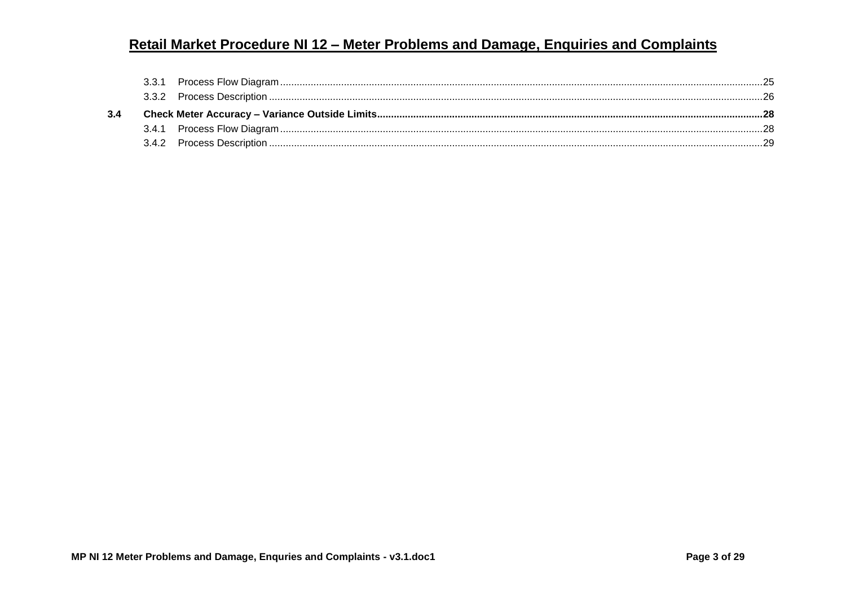| 3.4.1 |  |  |  |  |  |
|-------|--|--|--|--|--|
|       |  |  |  |  |  |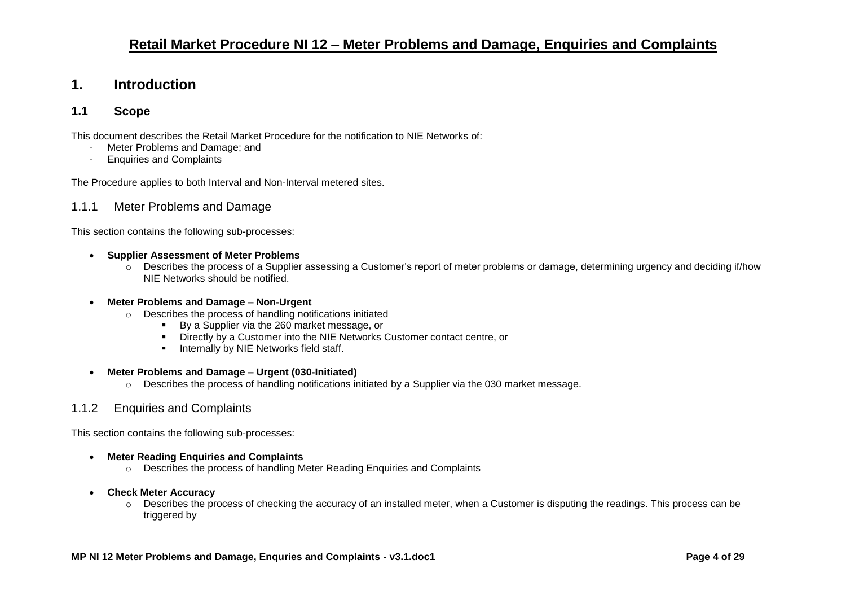#### <span id="page-3-0"></span>**1. Introduction**

#### <span id="page-3-1"></span>**1.1 Scope**

This document describes the Retail Market Procedure for the notification to NIE Networks of:

- Meter Problems and Damage; and
- Enquiries and Complaints

The Procedure applies to both Interval and Non-Interval metered sites.

#### <span id="page-3-2"></span>1.1.1 Meter Problems and Damage

This section contains the following sub-processes:

#### • **Supplier Assessment of Meter Problems**

 $\circ$  Describes the process of a Supplier assessing a Customer's report of meter problems or damage, determining urgency and deciding if/how NIE Networks should be notified.

#### • **Meter Problems and Damage – Non-Urgent**

- o Describes the process of handling notifications initiated
	- By a Supplier via the 260 market message, or
	- Directly by a Customer into the NIE Networks Customer contact centre, or
	- **■** Internally by NIE Networks field staff.

#### • **Meter Problems and Damage – Urgent (030-Initiated)**

o Describes the process of handling notifications initiated by a Supplier via the 030 market message.

#### <span id="page-3-3"></span>1.1.2 Enquiries and Complaints

This section contains the following sub-processes:

- **Meter Reading Enquiries and Complaints**
	- o Describes the process of handling Meter Reading Enquiries and Complaints

#### • **Check Meter Accuracy**

o Describes the process of checking the accuracy of an installed meter, when a Customer is disputing the readings. This process can be triggered by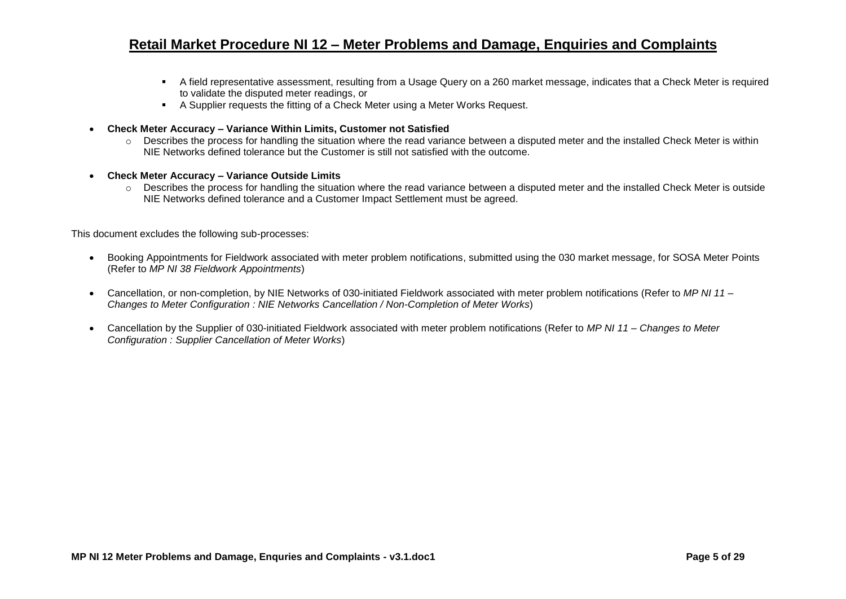- A field representative assessment, resulting from a Usage Query on a 260 market message, indicates that a Check Meter is required to validate the disputed meter readings, or
- A Supplier requests the fitting of a Check Meter using a Meter Works Request.
- **Check Meter Accuracy – Variance Within Limits, Customer not Satisfied**
	- o Describes the process for handling the situation where the read variance between a disputed meter and the installed Check Meter is within NIE Networks defined tolerance but the Customer is still not satisfied with the outcome.
- **Check Meter Accuracy – Variance Outside Limits**
	- o Describes the process for handling the situation where the read variance between a disputed meter and the installed Check Meter is outside NIE Networks defined tolerance and a Customer Impact Settlement must be agreed.

This document excludes the following sub-processes:

- Booking Appointments for Fieldwork associated with meter problem notifications, submitted using the 030 market message, for SOSA Meter Points (Refer to *MP NI 38 Fieldwork Appointments*)
- Cancellation, or non-completion, by NIE Networks of 030-initiated Fieldwork associated with meter problem notifications (Refer to *MP NI 11 – Changes to Meter Configuration : NIE Networks Cancellation / Non-Completion of Meter Works*)
- Cancellation by the Supplier of 030-initiated Fieldwork associated with meter problem notifications (Refer to *MP NI 11 – Changes to Meter Configuration : Supplier Cancellation of Meter Works*)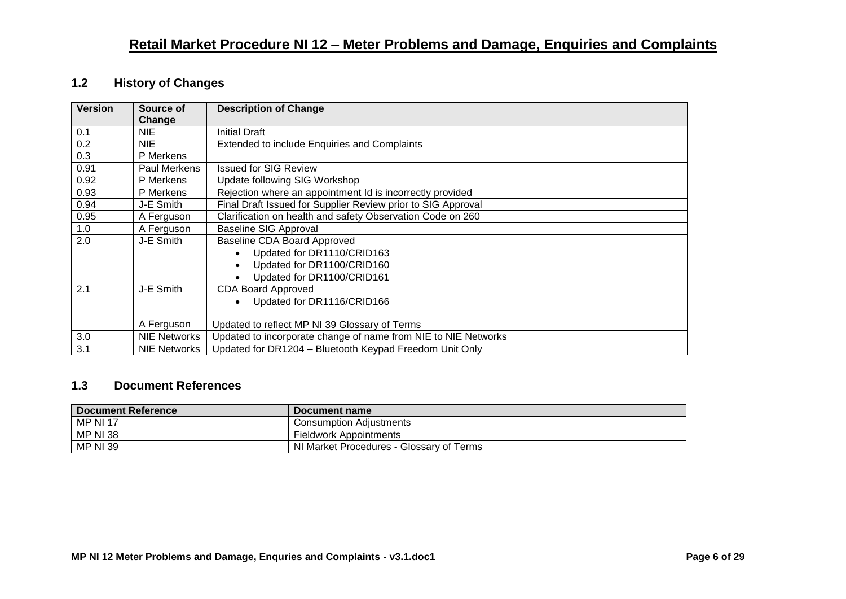#### <span id="page-5-0"></span>**1.2 History of Changes**

| <b>Version</b> | Source of<br>Change | <b>Description of Change</b>                                   |
|----------------|---------------------|----------------------------------------------------------------|
| 0.1            | <b>NIE</b>          | <b>Initial Draft</b>                                           |
| 0.2            | <b>NIE</b>          | Extended to include Enquiries and Complaints                   |
| 0.3            | P Merkens           |                                                                |
| 0.91           | Paul Merkens        | <b>Issued for SIG Review</b>                                   |
| 0.92           | P Merkens           | Update following SIG Workshop                                  |
| 0.93           | P Merkens           | Rejection where an appointment Id is incorrectly provided      |
| 0.94           | J-E Smith           | Final Draft Issued for Supplier Review prior to SIG Approval   |
| 0.95           | A Ferguson          | Clarification on health and safety Observation Code on 260     |
| 1.0            | A Ferguson          | <b>Baseline SIG Approval</b>                                   |
| 2.0            | J-E Smith           | Baseline CDA Board Approved                                    |
|                |                     | Updated for DR1110/CRID163                                     |
|                |                     | Updated for DR1100/CRID160<br>$\bullet$                        |
|                |                     | Updated for DR1100/CRID161                                     |
| 2.1            | J-E Smith           | <b>CDA Board Approved</b>                                      |
|                |                     | Updated for DR1116/CRID166<br>$\bullet$                        |
|                |                     |                                                                |
|                | A Ferguson          | Updated to reflect MP NI 39 Glossary of Terms                  |
| 3.0            | <b>NIE Networks</b> | Updated to incorporate change of name from NIE to NIE Networks |
| 3.1            | <b>NIE Networks</b> | Updated for DR1204 - Bluetooth Keypad Freedom Unit Only        |

#### <span id="page-5-1"></span>**1.3 Document References**

| <b>Document Reference</b> | Document name                            |
|---------------------------|------------------------------------------|
| <b>MP NI 17</b>           | <b>Consumption Adiustments</b>           |
| <b>MP NI 38</b>           | <b>Fieldwork Appointments</b>            |
| <b>MP NI 39</b>           | NI Market Procedures - Glossary of Terms |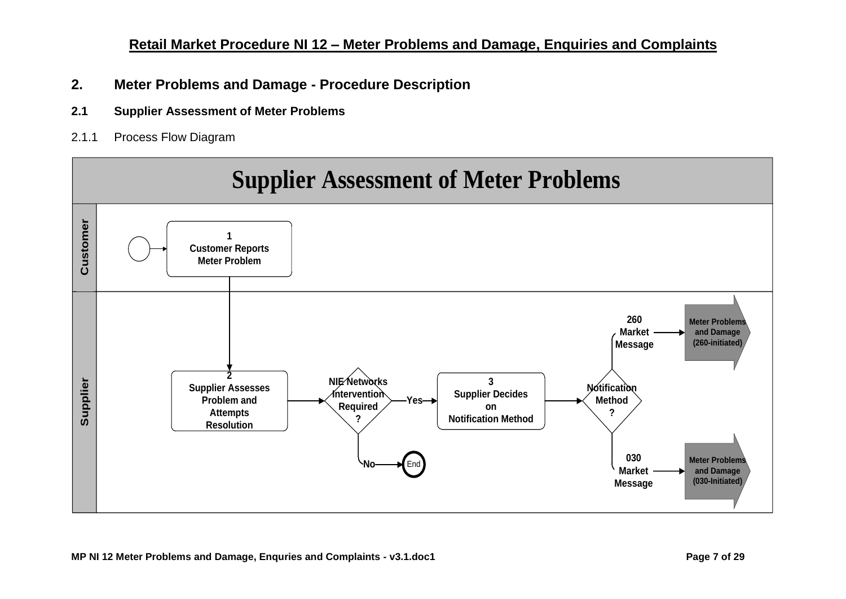- <span id="page-6-0"></span>**2. Meter Problems and Damage - Procedure Description**
- <span id="page-6-1"></span>**2.1 Supplier Assessment of Meter Problems**
- <span id="page-6-2"></span>2.1.1 Process Flow Diagram

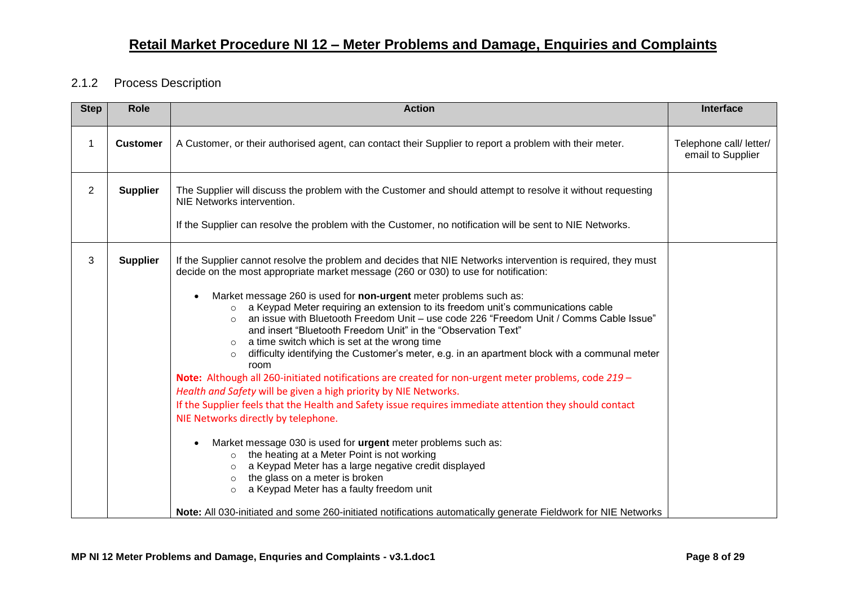#### <span id="page-7-0"></span>2.1.2 Process Description

| <b>Step</b>    | Role            | <b>Action</b>                                                                                                                                                                                                                                                                                                                                                                                                                                                                                                                                                                                                                                                                                                                                                                                                                                                                                                                                                                                                                                                                                                                                                                                                                                                                                                                                                                                                                                                        | <b>Interface</b>                             |
|----------------|-----------------|----------------------------------------------------------------------------------------------------------------------------------------------------------------------------------------------------------------------------------------------------------------------------------------------------------------------------------------------------------------------------------------------------------------------------------------------------------------------------------------------------------------------------------------------------------------------------------------------------------------------------------------------------------------------------------------------------------------------------------------------------------------------------------------------------------------------------------------------------------------------------------------------------------------------------------------------------------------------------------------------------------------------------------------------------------------------------------------------------------------------------------------------------------------------------------------------------------------------------------------------------------------------------------------------------------------------------------------------------------------------------------------------------------------------------------------------------------------------|----------------------------------------------|
| $\mathbf{1}$   | <b>Customer</b> | A Customer, or their authorised agent, can contact their Supplier to report a problem with their meter.                                                                                                                                                                                                                                                                                                                                                                                                                                                                                                                                                                                                                                                                                                                                                                                                                                                                                                                                                                                                                                                                                                                                                                                                                                                                                                                                                              | Telephone call/ letter/<br>email to Supplier |
| $\overline{2}$ | <b>Supplier</b> | The Supplier will discuss the problem with the Customer and should attempt to resolve it without requesting<br>NIE Networks intervention.<br>If the Supplier can resolve the problem with the Customer, no notification will be sent to NIE Networks.                                                                                                                                                                                                                                                                                                                                                                                                                                                                                                                                                                                                                                                                                                                                                                                                                                                                                                                                                                                                                                                                                                                                                                                                                |                                              |
| 3              | <b>Supplier</b> | If the Supplier cannot resolve the problem and decides that NIE Networks intervention is required, they must<br>decide on the most appropriate market message (260 or 030) to use for notification:<br>Market message 260 is used for non-urgent meter problems such as:<br>$\circ$ a Keypad Meter requiring an extension to its freedom unit's communications cable<br>an issue with Bluetooth Freedom Unit - use code 226 "Freedom Unit / Comms Cable Issue"<br>$\circ$<br>and insert "Bluetooth Freedom Unit" in the "Observation Text"<br>a time switch which is set at the wrong time<br>difficulty identifying the Customer's meter, e.g. in an apartment block with a communal meter<br>$\circ$<br>room<br>Note: Although all 260-initiated notifications are created for non-urgent meter problems, code 219 -<br>Health and Safety will be given a high priority by NIE Networks.<br>If the Supplier feels that the Health and Safety issue requires immediate attention they should contact<br>NIE Networks directly by telephone.<br>Market message 030 is used for urgent meter problems such as:<br>$\bullet$<br>o the heating at a Meter Point is not working<br>a Keypad Meter has a large negative credit displayed<br>$\circ$<br>the glass on a meter is broken<br>$\circ$<br>a Keypad Meter has a faulty freedom unit<br>$\circ$<br>Note: All 030-initiated and some 260-initiated notifications automatically generate Fieldwork for NIE Networks |                                              |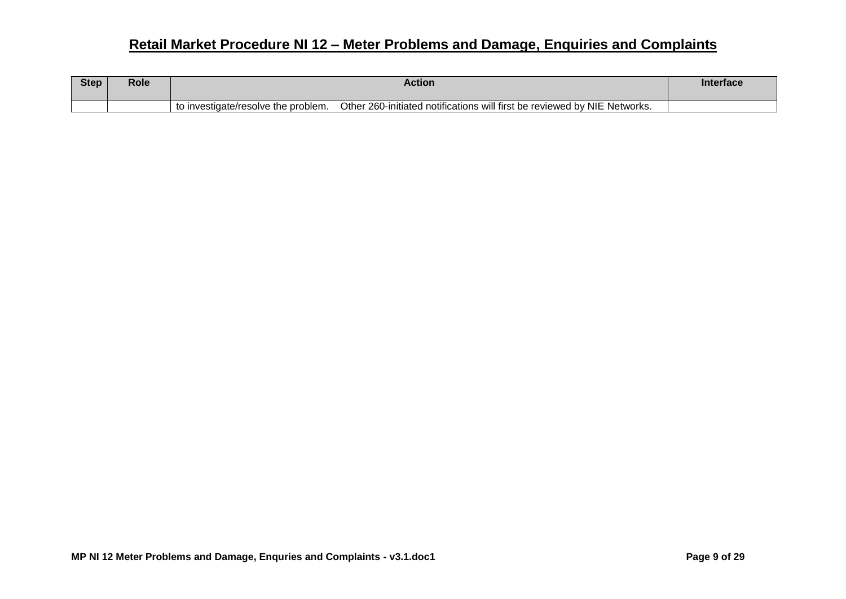| <b>Step</b> | Role | Action                                                                                                           | <b>Interface</b> |
|-------------|------|------------------------------------------------------------------------------------------------------------------|------------------|
|             |      | Other 260-initiated notifications will first be reviewed by NIE Networks.<br>to investigate/resolve the problem. |                  |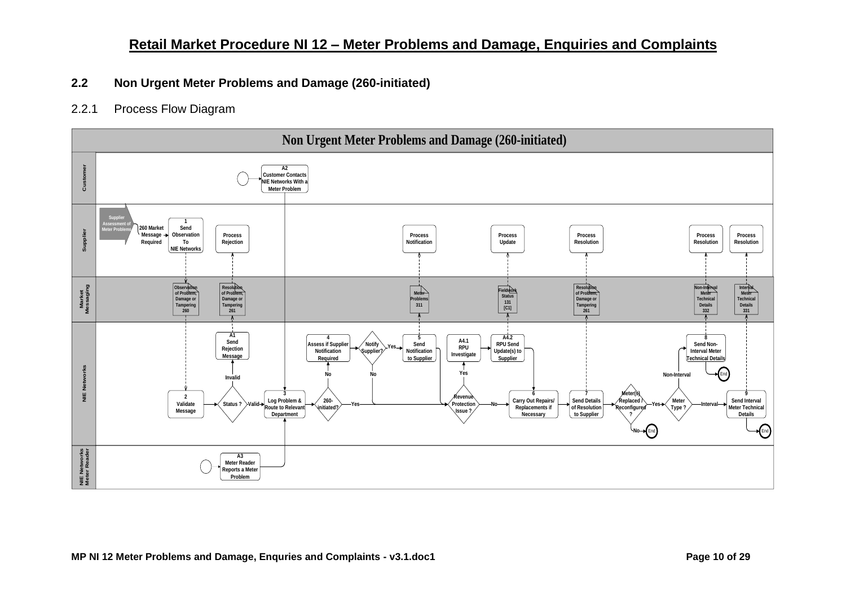#### <span id="page-9-0"></span>**2.2 Non Urgent Meter Problems and Damage (260-initiated)**

#### <span id="page-9-1"></span>2.2.1 Process Flow Diagram

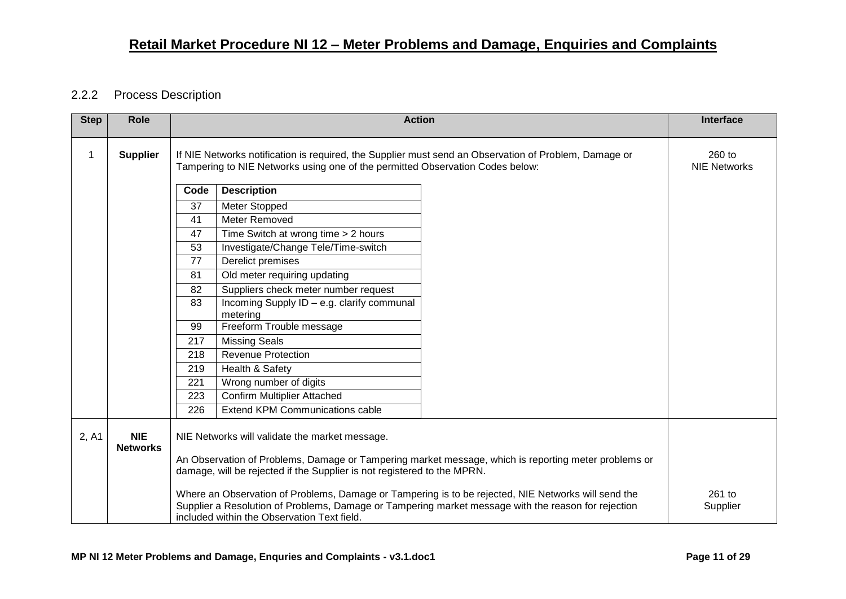#### <span id="page-10-0"></span>2.2.2 Process Description

| <b>Step</b> | Role                          |                                                                                                                                                                                                                                                           | <b>Action</b>                                          |  | <b>Interface</b> |  |  |
|-------------|-------------------------------|-----------------------------------------------------------------------------------------------------------------------------------------------------------------------------------------------------------------------------------------------------------|--------------------------------------------------------|--|------------------|--|--|
| 1           | <b>Supplier</b>               | If NIE Networks notification is required, the Supplier must send an Observation of Problem, Damage or<br>Tampering to NIE Networks using one of the permitted Observation Codes below:                                                                    | 260 to<br><b>NIE Networks</b>                          |  |                  |  |  |
|             |                               | Code                                                                                                                                                                                                                                                      | <b>Description</b>                                     |  |                  |  |  |
|             |                               | 37                                                                                                                                                                                                                                                        | Meter Stopped                                          |  |                  |  |  |
|             |                               | 41                                                                                                                                                                                                                                                        | Meter Removed                                          |  |                  |  |  |
|             |                               | 47                                                                                                                                                                                                                                                        | Time Switch at wrong time > 2 hours                    |  |                  |  |  |
|             |                               | 53                                                                                                                                                                                                                                                        | Investigate/Change Tele/Time-switch                    |  |                  |  |  |
|             |                               | 77                                                                                                                                                                                                                                                        | Derelict premises                                      |  |                  |  |  |
|             |                               | 81                                                                                                                                                                                                                                                        | Old meter requiring updating                           |  |                  |  |  |
|             |                               | 82                                                                                                                                                                                                                                                        | Suppliers check meter number request                   |  |                  |  |  |
|             |                               | 83                                                                                                                                                                                                                                                        | Incoming Supply ID - e.g. clarify communal<br>metering |  |                  |  |  |
|             |                               | 99                                                                                                                                                                                                                                                        | Freeform Trouble message                               |  |                  |  |  |
|             |                               | 217                                                                                                                                                                                                                                                       | <b>Missing Seals</b>                                   |  |                  |  |  |
|             |                               | <b>Revenue Protection</b><br>218                                                                                                                                                                                                                          |                                                        |  |                  |  |  |
|             |                               | Health & Safety<br>219                                                                                                                                                                                                                                    |                                                        |  |                  |  |  |
|             |                               | 221<br>Wrong number of digits                                                                                                                                                                                                                             |                                                        |  |                  |  |  |
|             |                               | 223                                                                                                                                                                                                                                                       | <b>Confirm Multiplier Attached</b>                     |  |                  |  |  |
|             |                               | 226                                                                                                                                                                                                                                                       | <b>Extend KPM Communications cable</b>                 |  |                  |  |  |
| 2, A1       | <b>NIE</b><br><b>Networks</b> | NIE Networks will validate the market message.<br>An Observation of Problems, Damage or Tampering market message, which is reporting meter problems or<br>damage, will be rejected if the Supplier is not registered to the MPRN.                         |                                                        |  |                  |  |  |
|             |                               | Where an Observation of Problems, Damage or Tampering is to be rejected, NIE Networks will send the<br>Supplier a Resolution of Problems, Damage or Tampering market message with the reason for rejection<br>included within the Observation Text field. | 261 to<br>Supplier                                     |  |                  |  |  |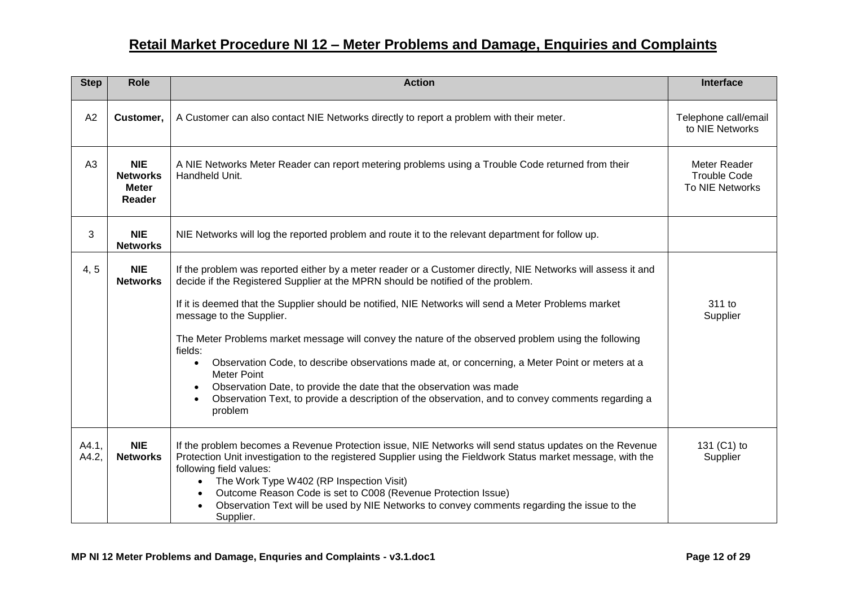| <b>Step</b>    | <b>Role</b>                                             | <b>Action</b>                                                                                                                                                                                                                                                                                                                                                                                                                                                                                                                                                                                                                                                                                                                                                                        | Interface                               |
|----------------|---------------------------------------------------------|--------------------------------------------------------------------------------------------------------------------------------------------------------------------------------------------------------------------------------------------------------------------------------------------------------------------------------------------------------------------------------------------------------------------------------------------------------------------------------------------------------------------------------------------------------------------------------------------------------------------------------------------------------------------------------------------------------------------------------------------------------------------------------------|-----------------------------------------|
| A2             | Customer,                                               | A Customer can also contact NIE Networks directly to report a problem with their meter.                                                                                                                                                                                                                                                                                                                                                                                                                                                                                                                                                                                                                                                                                              | Telephone call/email<br>to NIE Networks |
| A <sub>3</sub> | <b>NIE</b><br><b>Networks</b><br><b>Meter</b><br>Reader | A NIE Networks Meter Reader can report metering problems using a Trouble Code returned from their<br>Handheld Unit.                                                                                                                                                                                                                                                                                                                                                                                                                                                                                                                                                                                                                                                                  |                                         |
| 3              | <b>NIE</b><br><b>Networks</b>                           | NIE Networks will log the reported problem and route it to the relevant department for follow up.                                                                                                                                                                                                                                                                                                                                                                                                                                                                                                                                                                                                                                                                                    |                                         |
| 4,5            | <b>NIE</b><br><b>Networks</b>                           | If the problem was reported either by a meter reader or a Customer directly, NIE Networks will assess it and<br>decide if the Registered Supplier at the MPRN should be notified of the problem.<br>If it is deemed that the Supplier should be notified, NIE Networks will send a Meter Problems market<br>message to the Supplier.<br>The Meter Problems market message will convey the nature of the observed problem using the following<br>fields:<br>Observation Code, to describe observations made at, or concerning, a Meter Point or meters at a<br>$\bullet$<br><b>Meter Point</b><br>Observation Date, to provide the date that the observation was made<br>Observation Text, to provide a description of the observation, and to convey comments regarding a<br>problem | 311 to<br>Supplier                      |
| A4.1,<br>A4.2, | <b>NIE</b><br><b>Networks</b>                           | If the problem becomes a Revenue Protection issue, NIE Networks will send status updates on the Revenue<br>Protection Unit investigation to the registered Supplier using the Fieldwork Status market message, with the<br>following field values:<br>The Work Type W402 (RP Inspection Visit)<br>$\bullet$<br>Outcome Reason Code is set to C008 (Revenue Protection Issue)<br>$\bullet$<br>Observation Text will be used by NIE Networks to convey comments regarding the issue to the<br>Supplier.                                                                                                                                                                                                                                                                                | 131 (C1) to<br>Supplier                 |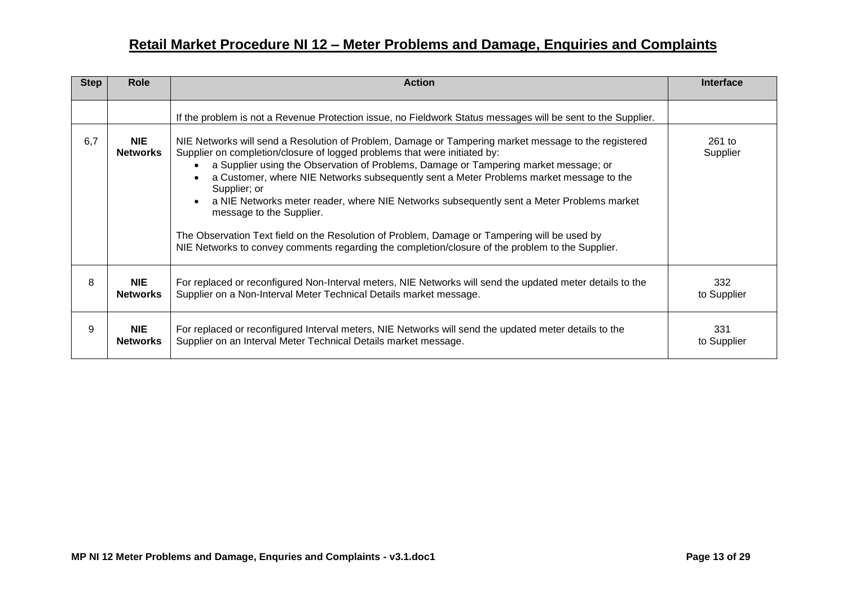| <b>Step</b> | <b>Role</b>                   | <b>Action</b>                                                                                                                                                                                                                                                                                                                                                                                                                                                                                                                                                                                                                                                                                                                  | <b>Interface</b>     |
|-------------|-------------------------------|--------------------------------------------------------------------------------------------------------------------------------------------------------------------------------------------------------------------------------------------------------------------------------------------------------------------------------------------------------------------------------------------------------------------------------------------------------------------------------------------------------------------------------------------------------------------------------------------------------------------------------------------------------------------------------------------------------------------------------|----------------------|
|             |                               | If the problem is not a Revenue Protection issue, no Fieldwork Status messages will be sent to the Supplier.                                                                                                                                                                                                                                                                                                                                                                                                                                                                                                                                                                                                                   |                      |
| 6,7         | <b>NIE</b><br><b>Networks</b> | NIE Networks will send a Resolution of Problem, Damage or Tampering market message to the registered<br>Supplier on completion/closure of logged problems that were initiated by:<br>a Supplier using the Observation of Problems, Damage or Tampering market message; or<br>a Customer, where NIE Networks subsequently sent a Meter Problems market message to the<br>Supplier; or<br>a NIE Networks meter reader, where NIE Networks subsequently sent a Meter Problems market<br>$\bullet$<br>message to the Supplier.<br>The Observation Text field on the Resolution of Problem, Damage or Tampering will be used by<br>NIE Networks to convey comments regarding the completion/closure of the problem to the Supplier. | $261$ to<br>Supplier |
| 8           | <b>NIE</b><br><b>Networks</b> | For replaced or reconfigured Non-Interval meters, NIE Networks will send the updated meter details to the<br>Supplier on a Non-Interval Meter Technical Details market message.                                                                                                                                                                                                                                                                                                                                                                                                                                                                                                                                                | 332<br>to Supplier   |
| 9           | <b>NIE</b><br><b>Networks</b> | For replaced or reconfigured Interval meters, NIE Networks will send the updated meter details to the<br>Supplier on an Interval Meter Technical Details market message.                                                                                                                                                                                                                                                                                                                                                                                                                                                                                                                                                       | 331<br>to Supplier   |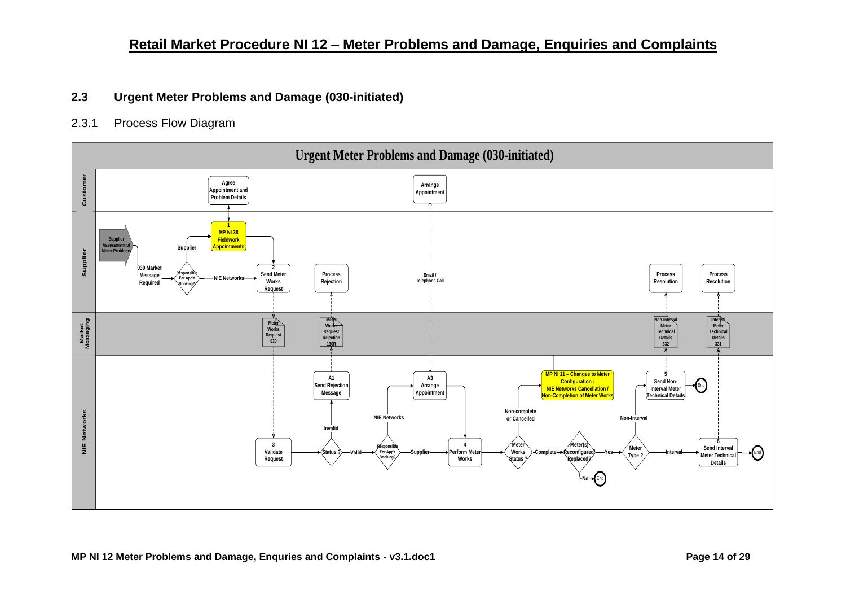#### <span id="page-13-0"></span>**2.3 Urgent Meter Problems and Damage (030-initiated)**

#### <span id="page-13-1"></span>2.3.1 Process Flow Diagram

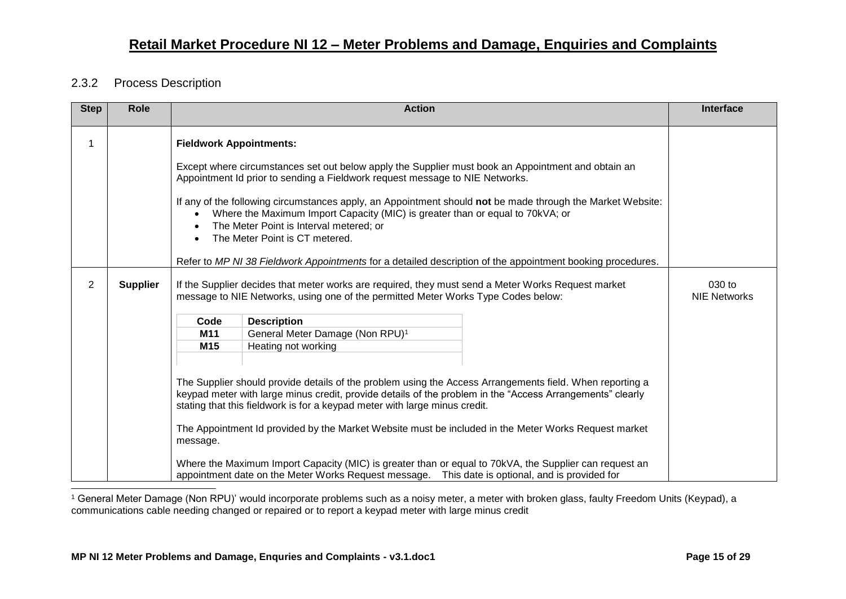#### <span id="page-14-0"></span>2.3.2 Process Description

-

| <b>Step</b>    | <b>Role</b>     |                                                                                                                                                                                                                                                                                                                                                                                                                                                                                                  | <b>Action</b>                                                                                                                                                                                                                                                                                                                                                                                                                                                                                                                                                                                                             | <b>Interface</b> |  |  |
|----------------|-----------------|--------------------------------------------------------------------------------------------------------------------------------------------------------------------------------------------------------------------------------------------------------------------------------------------------------------------------------------------------------------------------------------------------------------------------------------------------------------------------------------------------|---------------------------------------------------------------------------------------------------------------------------------------------------------------------------------------------------------------------------------------------------------------------------------------------------------------------------------------------------------------------------------------------------------------------------------------------------------------------------------------------------------------------------------------------------------------------------------------------------------------------------|------------------|--|--|
|                |                 | <b>Fieldwork Appointments:</b><br>Except where circumstances set out below apply the Supplier must book an Appointment and obtain an<br>Appointment Id prior to sending a Fieldwork request message to NIE Networks.<br>If any of the following circumstances apply, an Appointment should not be made through the Market Website:<br>Where the Maximum Import Capacity (MIC) is greater than or equal to 70kVA; or<br>The Meter Point is Interval metered; or<br>The Meter Point is CT metered. |                                                                                                                                                                                                                                                                                                                                                                                                                                                                                                                                                                                                                           |                  |  |  |
|                |                 |                                                                                                                                                                                                                                                                                                                                                                                                                                                                                                  | Refer to MP NI 38 Fieldwork Appointments for a detailed description of the appointment booking procedures.                                                                                                                                                                                                                                                                                                                                                                                                                                                                                                                |                  |  |  |
| $\overline{2}$ | <b>Supplier</b> |                                                                                                                                                                                                                                                                                                                                                                                                                                                                                                  | If the Supplier decides that meter works are required, they must send a Meter Works Request market<br>message to NIE Networks, using one of the permitted Meter Works Type Codes below:                                                                                                                                                                                                                                                                                                                                                                                                                                   |                  |  |  |
|                |                 | <b>Description</b><br>Code                                                                                                                                                                                                                                                                                                                                                                                                                                                                       |                                                                                                                                                                                                                                                                                                                                                                                                                                                                                                                                                                                                                           |                  |  |  |
|                |                 | M11                                                                                                                                                                                                                                                                                                                                                                                                                                                                                              | General Meter Damage (Non RPU) <sup>1</sup>                                                                                                                                                                                                                                                                                                                                                                                                                                                                                                                                                                               |                  |  |  |
|                |                 | M <sub>15</sub>                                                                                                                                                                                                                                                                                                                                                                                                                                                                                  | Heating not working                                                                                                                                                                                                                                                                                                                                                                                                                                                                                                                                                                                                       |                  |  |  |
|                |                 | message.                                                                                                                                                                                                                                                                                                                                                                                                                                                                                         | The Supplier should provide details of the problem using the Access Arrangements field. When reporting a<br>keypad meter with large minus credit, provide details of the problem in the "Access Arrangements" clearly<br>stating that this fieldwork is for a keypad meter with large minus credit.<br>The Appointment Id provided by the Market Website must be included in the Meter Works Request market<br>Where the Maximum Import Capacity (MIC) is greater than or equal to 70kVA, the Supplier can request an<br>appointment date on the Meter Works Request message.  This date is optional, and is provided for |                  |  |  |

<sup>1</sup> General Meter Damage (Non RPU)' would incorporate problems such as a noisy meter, a meter with broken glass, faulty Freedom Units (Keypad), a communications cable needing changed or repaired or to report a keypad meter with large minus credit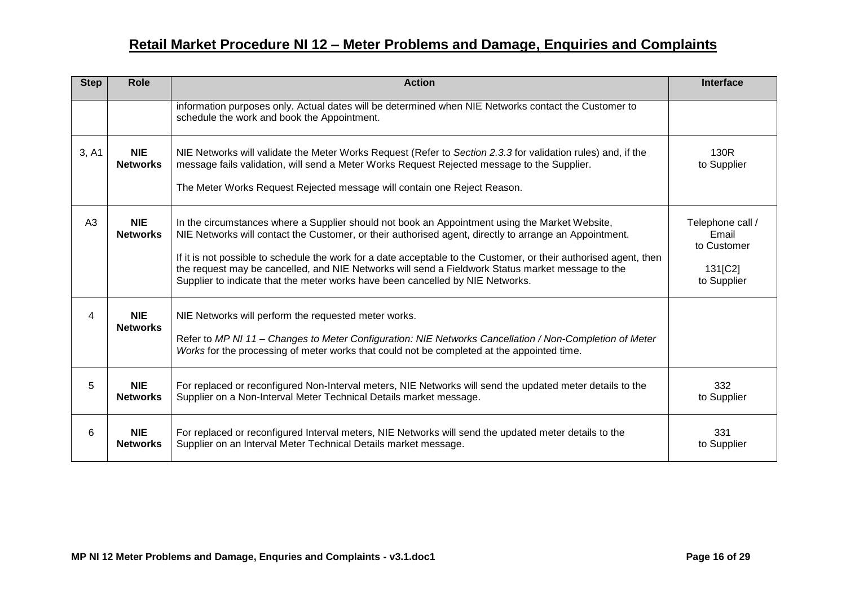| <b>Step</b> | Role                          | <b>Action</b>                                                                                                                                                                                                                                                                                                                                                                                                                                                                                                        | Interface                                                          |
|-------------|-------------------------------|----------------------------------------------------------------------------------------------------------------------------------------------------------------------------------------------------------------------------------------------------------------------------------------------------------------------------------------------------------------------------------------------------------------------------------------------------------------------------------------------------------------------|--------------------------------------------------------------------|
|             |                               | information purposes only. Actual dates will be determined when NIE Networks contact the Customer to<br>schedule the work and book the Appointment.                                                                                                                                                                                                                                                                                                                                                                  |                                                                    |
| 3, A1       | <b>NIE</b><br><b>Networks</b> | NIE Networks will validate the Meter Works Request (Refer to Section 2.3.3 for validation rules) and, if the<br>message fails validation, will send a Meter Works Request Rejected message to the Supplier.<br>The Meter Works Request Rejected message will contain one Reject Reason.                                                                                                                                                                                                                              | 130R<br>to Supplier                                                |
| A3          | <b>NIE</b><br><b>Networks</b> | In the circumstances where a Supplier should not book an Appointment using the Market Website,<br>NIE Networks will contact the Customer, or their authorised agent, directly to arrange an Appointment.<br>If it is not possible to schedule the work for a date acceptable to the Customer, or their authorised agent, then<br>the request may be cancelled, and NIE Networks will send a Fieldwork Status market message to the<br>Supplier to indicate that the meter works have been cancelled by NIE Networks. | Telephone call /<br>Email<br>to Customer<br>131[C2]<br>to Supplier |
| 4           | <b>NIE</b><br><b>Networks</b> | NIE Networks will perform the requested meter works.<br>Refer to MP NI 11 - Changes to Meter Configuration: NIE Networks Cancellation / Non-Completion of Meter<br>Works for the processing of meter works that could not be completed at the appointed time.                                                                                                                                                                                                                                                        |                                                                    |
| 5           | <b>NIE</b><br><b>Networks</b> | For replaced or reconfigured Non-Interval meters, NIE Networks will send the updated meter details to the<br>Supplier on a Non-Interval Meter Technical Details market message.                                                                                                                                                                                                                                                                                                                                      | 332<br>to Supplier                                                 |
| 6           | <b>NIE</b><br><b>Networks</b> | For replaced or reconfigured Interval meters, NIE Networks will send the updated meter details to the<br>Supplier on an Interval Meter Technical Details market message.                                                                                                                                                                                                                                                                                                                                             | 331<br>to Supplier                                                 |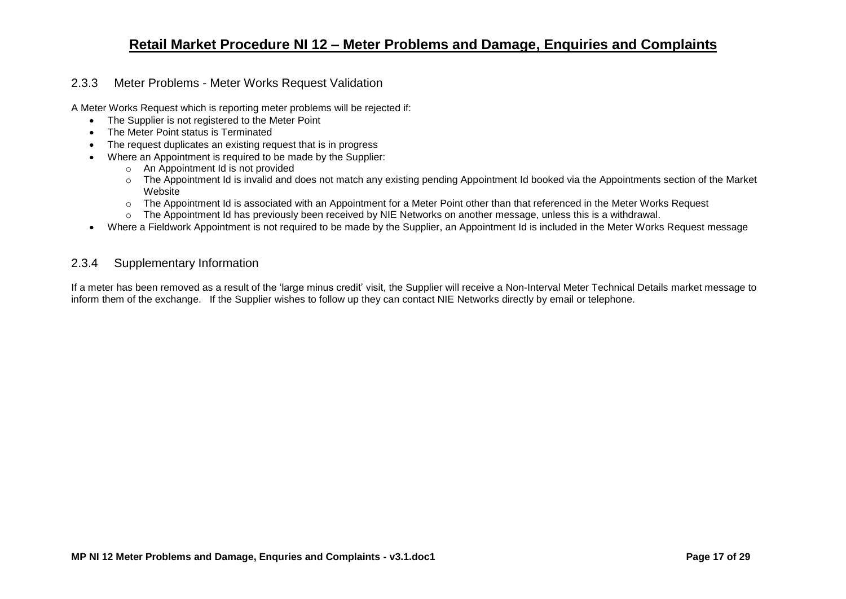#### <span id="page-16-0"></span>2.3.3 Meter Problems - Meter Works Request Validation

A Meter Works Request which is reporting meter problems will be rejected if:

- The Supplier is not registered to the Meter Point
- The Meter Point status is Terminated
- The request duplicates an existing request that is in progress
- Where an Appointment is required to be made by the Supplier:
	- o An Appointment Id is not provided
	- o The Appointment Id is invalid and does not match any existing pending Appointment Id booked via the Appointments section of the Market **Website**
	- o The Appointment Id is associated with an Appointment for a Meter Point other than that referenced in the Meter Works Request
	- o The Appointment Id has previously been received by NIE Networks on another message, unless this is a withdrawal.
- Where a Fieldwork Appointment is not required to be made by the Supplier, an Appointment Id is included in the Meter Works Request message

#### <span id="page-16-1"></span>2.3.4 Supplementary Information

If a meter has been removed as a result of the 'large minus credit' visit, the Supplier will receive a Non-Interval Meter Technical Details market message to inform them of the exchange. If the Supplier wishes to follow up they can contact NIE Networks directly by email or telephone.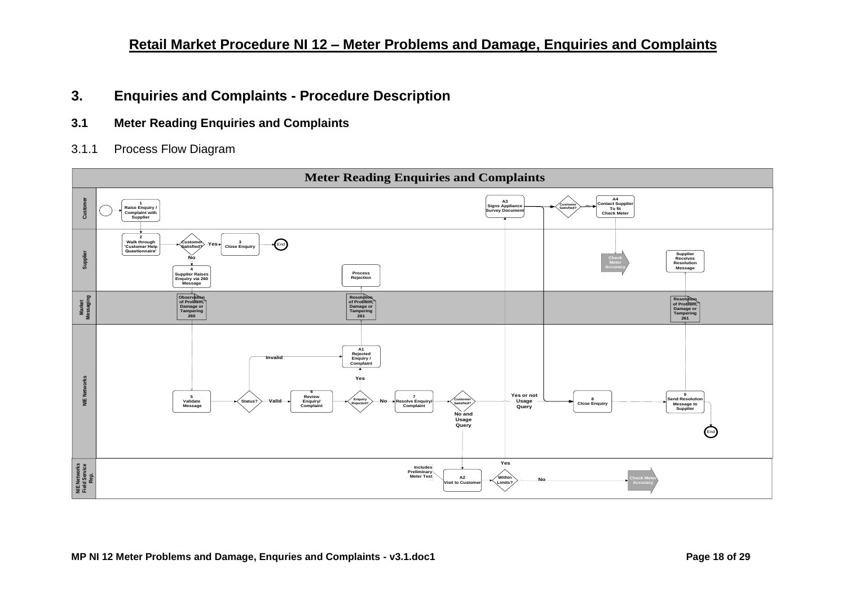### <span id="page-17-0"></span>**3. Enquiries and Complaints - Procedure Description**

- <span id="page-17-1"></span>**3.1 Meter Reading Enquiries and Complaints**
- <span id="page-17-2"></span>3.1.1 Process Flow Diagram

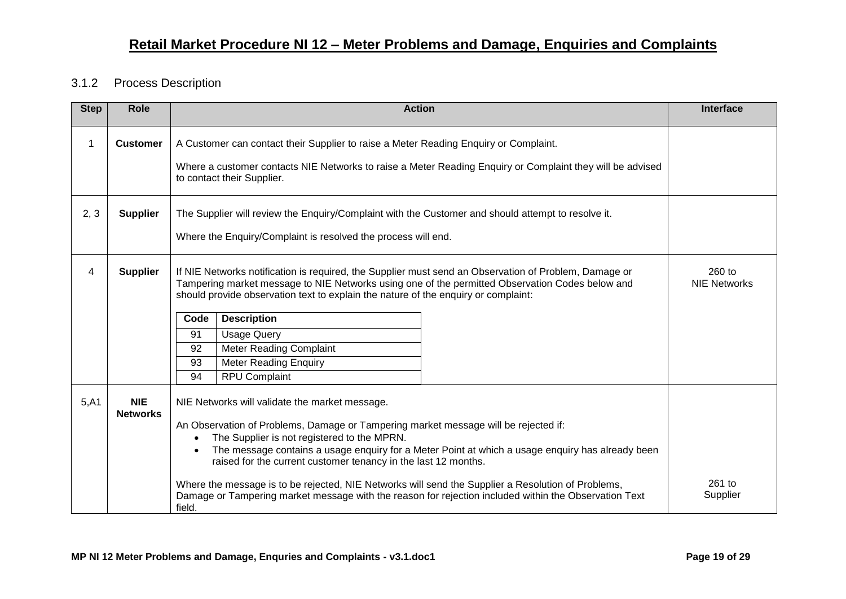#### <span id="page-18-0"></span>3.1.2 Process Description

| <b>Step</b> | <b>Role</b>                   |                              | <b>Action</b>                                                                                                                                                                                                                                                                                                                                                |                                                                                                                                                                                                           | Interface                     |
|-------------|-------------------------------|------------------------------|--------------------------------------------------------------------------------------------------------------------------------------------------------------------------------------------------------------------------------------------------------------------------------------------------------------------------------------------------------------|-----------------------------------------------------------------------------------------------------------------------------------------------------------------------------------------------------------|-------------------------------|
| 1           | <b>Customer</b>               |                              | A Customer can contact their Supplier to raise a Meter Reading Enquiry or Complaint.<br>to contact their Supplier.                                                                                                                                                                                                                                           | Where a customer contacts NIE Networks to raise a Meter Reading Enquiry or Complaint they will be advised                                                                                                 |                               |
| 2, 3        | <b>Supplier</b>               |                              | The Supplier will review the Enquiry/Complaint with the Customer and should attempt to resolve it.<br>Where the Enquiry/Complaint is resolved the process will end.                                                                                                                                                                                          |                                                                                                                                                                                                           |                               |
| 4           | <b>Supplier</b>               | Code<br>91<br>92<br>93<br>94 | should provide observation text to explain the nature of the enquiry or complaint:<br><b>Description</b><br><b>Usage Query</b><br>Meter Reading Complaint<br><b>Meter Reading Enquiry</b><br><b>RPU Complaint</b>                                                                                                                                            | If NIE Networks notification is required, the Supplier must send an Observation of Problem, Damage or<br>Tampering market message to NIE Networks using one of the permitted Observation Codes below and  | 260 to<br><b>NIE Networks</b> |
| 5,A1        | <b>NIE</b><br><b>Networks</b> | field.                       | NIE Networks will validate the market message.<br>An Observation of Problems, Damage or Tampering market message will be rejected if:<br>The Supplier is not registered to the MPRN.<br>raised for the current customer tenancy in the last 12 months.<br>Where the message is to be rejected, NIE Networks will send the Supplier a Resolution of Problems, | The message contains a usage enquiry for a Meter Point at which a usage enquiry has already been<br>Damage or Tampering market message with the reason for rejection included within the Observation Text | $261$ to<br>Supplier          |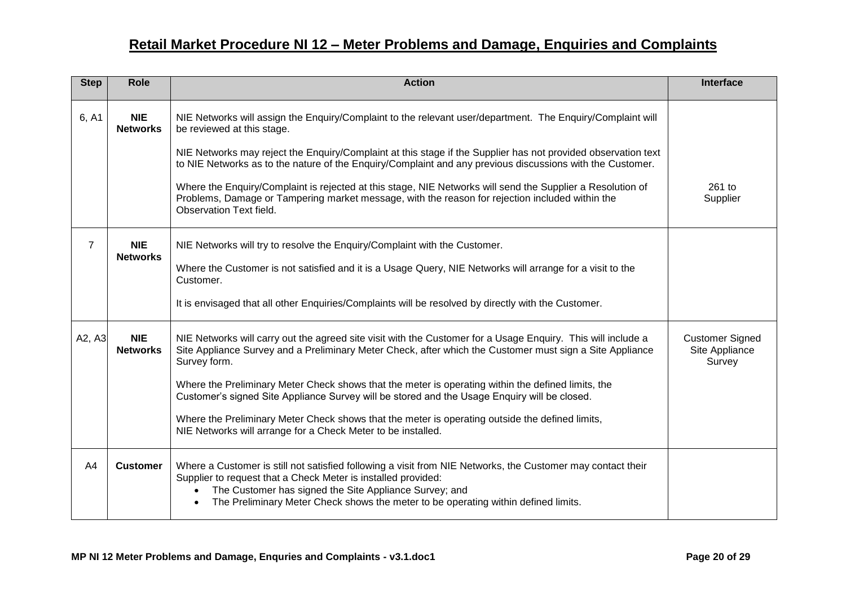| <b>Step</b>    | <b>Role</b>                   | <b>Action</b>                                                                                                                                                                                                                                                                                                                                                                                                                                                                                                                                                                                                     | Interface                                          |
|----------------|-------------------------------|-------------------------------------------------------------------------------------------------------------------------------------------------------------------------------------------------------------------------------------------------------------------------------------------------------------------------------------------------------------------------------------------------------------------------------------------------------------------------------------------------------------------------------------------------------------------------------------------------------------------|----------------------------------------------------|
| 6, A1          | <b>NIE</b><br><b>Networks</b> | NIE Networks will assign the Enquiry/Complaint to the relevant user/department. The Enquiry/Complaint will<br>be reviewed at this stage.<br>NIE Networks may reject the Enquiry/Complaint at this stage if the Supplier has not provided observation text                                                                                                                                                                                                                                                                                                                                                         |                                                    |
|                |                               | to NIE Networks as to the nature of the Enquiry/Complaint and any previous discussions with the Customer.<br>Where the Enquiry/Complaint is rejected at this stage, NIE Networks will send the Supplier a Resolution of<br>Problems, Damage or Tampering market message, with the reason for rejection included within the<br>Observation Text field.                                                                                                                                                                                                                                                             | $261$ to<br>Supplier                               |
| $\overline{7}$ | <b>NIE</b><br><b>Networks</b> | NIE Networks will try to resolve the Enquiry/Complaint with the Customer.<br>Where the Customer is not satisfied and it is a Usage Query, NIE Networks will arrange for a visit to the<br>Customer.<br>It is envisaged that all other Enquiries/Complaints will be resolved by directly with the Customer.                                                                                                                                                                                                                                                                                                        |                                                    |
| A2, A3         | <b>NIE</b><br><b>Networks</b> | NIE Networks will carry out the agreed site visit with the Customer for a Usage Enquiry. This will include a<br>Site Appliance Survey and a Preliminary Meter Check, after which the Customer must sign a Site Appliance<br>Survey form.<br>Where the Preliminary Meter Check shows that the meter is operating within the defined limits, the<br>Customer's signed Site Appliance Survey will be stored and the Usage Enquiry will be closed.<br>Where the Preliminary Meter Check shows that the meter is operating outside the defined limits,<br>NIE Networks will arrange for a Check Meter to be installed. | <b>Customer Signed</b><br>Site Appliance<br>Survey |
| A4             | <b>Customer</b>               | Where a Customer is still not satisfied following a visit from NIE Networks, the Customer may contact their<br>Supplier to request that a Check Meter is installed provided:<br>The Customer has signed the Site Appliance Survey; and<br>$\bullet$<br>The Preliminary Meter Check shows the meter to be operating within defined limits.<br>$\bullet$                                                                                                                                                                                                                                                            |                                                    |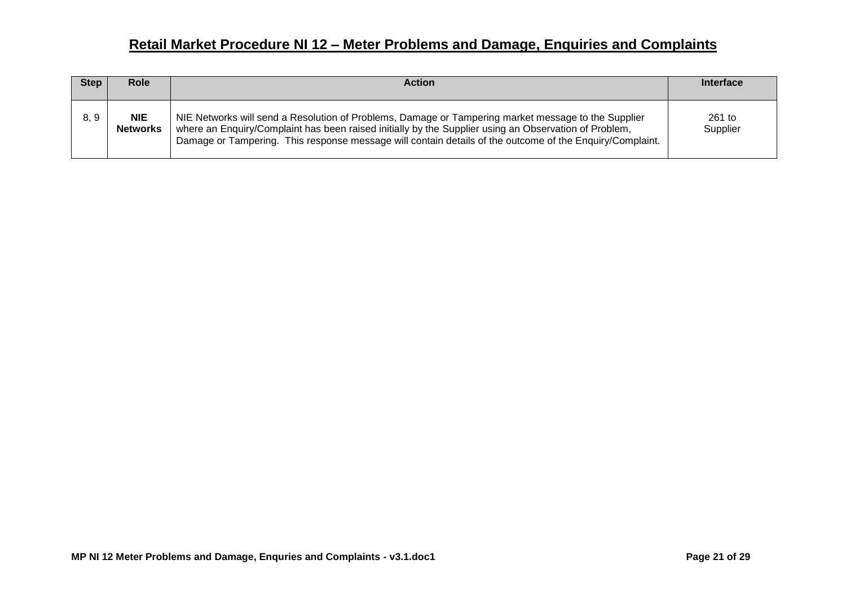| <b>Step</b> | <b>Role</b>                   | <b>Action</b>                                                                                                                                                                                                                                                                                                            | <b>Interface</b>     |
|-------------|-------------------------------|--------------------------------------------------------------------------------------------------------------------------------------------------------------------------------------------------------------------------------------------------------------------------------------------------------------------------|----------------------|
| 8, 9        | <b>NIE</b><br><b>Networks</b> | NIE Networks will send a Resolution of Problems, Damage or Tampering market message to the Supplier<br>where an Enquiry/Complaint has been raised initially by the Supplier using an Observation of Problem,<br>Damage or Tampering. This response message will contain details of the outcome of the Enguiry/Complaint. | $261$ to<br>Supplier |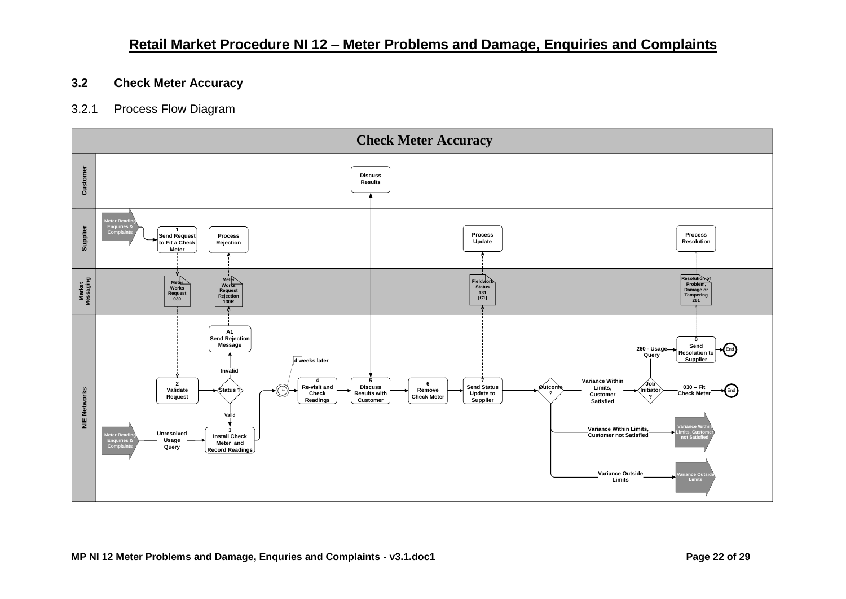#### <span id="page-21-0"></span>**3.2 Check Meter Accuracy**

#### <span id="page-21-1"></span>3.2.1 Process Flow Diagram

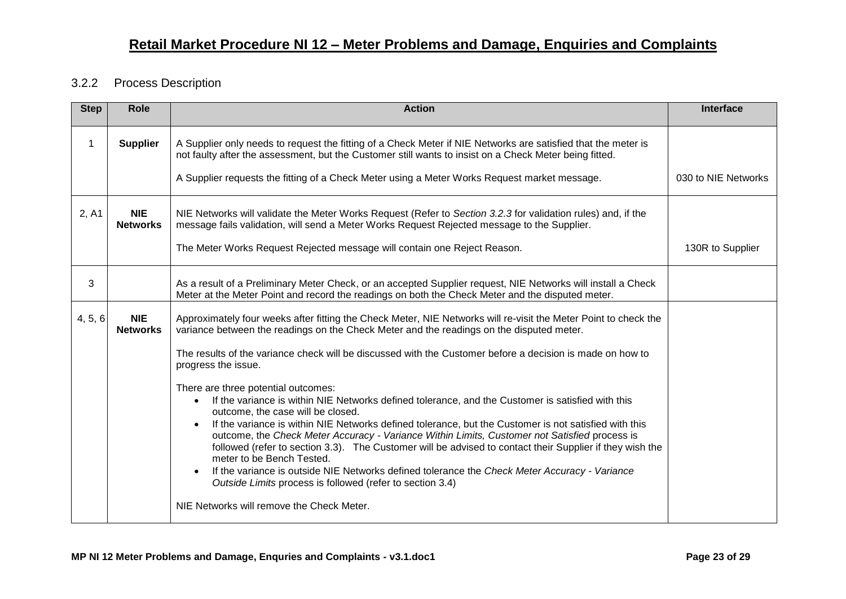#### <span id="page-22-0"></span>3.2.2 Process Description

| <b>Step</b>  | <b>Role</b>                   | <b>Action</b>                                                                                                                                                                                                                                                                                                                                                                                                                                                                                                                                                                                                                                                                                                                                                         | <b>Interface</b>    |
|--------------|-------------------------------|-----------------------------------------------------------------------------------------------------------------------------------------------------------------------------------------------------------------------------------------------------------------------------------------------------------------------------------------------------------------------------------------------------------------------------------------------------------------------------------------------------------------------------------------------------------------------------------------------------------------------------------------------------------------------------------------------------------------------------------------------------------------------|---------------------|
| $\mathbf{1}$ | <b>Supplier</b>               | A Supplier only needs to request the fitting of a Check Meter if NIE Networks are satisfied that the meter is<br>not faulty after the assessment, but the Customer still wants to insist on a Check Meter being fitted.                                                                                                                                                                                                                                                                                                                                                                                                                                                                                                                                               |                     |
|              |                               | A Supplier requests the fitting of a Check Meter using a Meter Works Request market message.                                                                                                                                                                                                                                                                                                                                                                                                                                                                                                                                                                                                                                                                          | 030 to NIE Networks |
| 2, A1        | <b>NIE</b><br><b>Networks</b> | NIE Networks will validate the Meter Works Request (Refer to Section 3.2.3 for validation rules) and, if the<br>message fails validation, will send a Meter Works Request Rejected message to the Supplier.                                                                                                                                                                                                                                                                                                                                                                                                                                                                                                                                                           |                     |
|              |                               | The Meter Works Request Rejected message will contain one Reject Reason.                                                                                                                                                                                                                                                                                                                                                                                                                                                                                                                                                                                                                                                                                              | 130R to Supplier    |
| 3            |                               | As a result of a Preliminary Meter Check, or an accepted Supplier request, NIE Networks will install a Check<br>Meter at the Meter Point and record the readings on both the Check Meter and the disputed meter.                                                                                                                                                                                                                                                                                                                                                                                                                                                                                                                                                      |                     |
| 4, 5, 6      | <b>NIE</b><br><b>Networks</b> | Approximately four weeks after fitting the Check Meter, NIE Networks will re-visit the Meter Point to check the<br>variance between the readings on the Check Meter and the readings on the disputed meter.                                                                                                                                                                                                                                                                                                                                                                                                                                                                                                                                                           |                     |
|              |                               | The results of the variance check will be discussed with the Customer before a decision is made on how to<br>progress the issue.                                                                                                                                                                                                                                                                                                                                                                                                                                                                                                                                                                                                                                      |                     |
|              |                               | There are three potential outcomes:<br>If the variance is within NIE Networks defined tolerance, and the Customer is satisfied with this<br>$\bullet$<br>outcome, the case will be closed.<br>If the variance is within NIE Networks defined tolerance, but the Customer is not satisfied with this<br>$\bullet$<br>outcome, the Check Meter Accuracy - Variance Within Limits, Customer not Satisfied process is<br>followed (refer to section 3.3). The Customer will be advised to contact their Supplier if they wish the<br>meter to be Bench Tested.<br>If the variance is outside NIE Networks defined tolerance the Check Meter Accuracy - Variance<br>Outside Limits process is followed (refer to section 3.4)<br>NIE Networks will remove the Check Meter. |                     |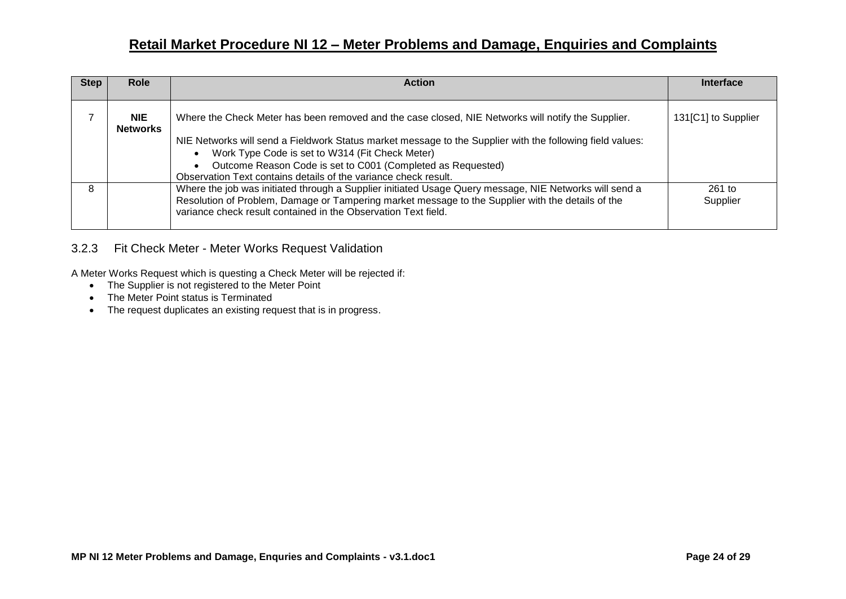| <b>Step</b> | Role                          | <b>Action</b>                                                                                                                                                                                                                                                                                                                                    | Interface            |
|-------------|-------------------------------|--------------------------------------------------------------------------------------------------------------------------------------------------------------------------------------------------------------------------------------------------------------------------------------------------------------------------------------------------|----------------------|
|             | <b>NIE</b><br><b>Networks</b> | Where the Check Meter has been removed and the case closed, NIE Networks will notify the Supplier.<br>NIE Networks will send a Fieldwork Status market message to the Supplier with the following field values:<br>Work Type Code is set to W314 (Fit Check Meter)<br>Outcome Reason Code is set to C001 (Completed as Requested)<br>$\bullet$   | 131[C1] to Supplier  |
| 8           |                               | Observation Text contains details of the variance check result.<br>Where the job was initiated through a Supplier initiated Usage Query message, NIE Networks will send a<br>Resolution of Problem, Damage or Tampering market message to the Supplier with the details of the<br>variance check result contained in the Observation Text field. | $261$ to<br>Supplier |

#### <span id="page-23-0"></span>3.2.3 Fit Check Meter - Meter Works Request Validation

A Meter Works Request which is questing a Check Meter will be rejected if:

- The Supplier is not registered to the Meter Point
- The Meter Point status is Terminated
- The request duplicates an existing request that is in progress.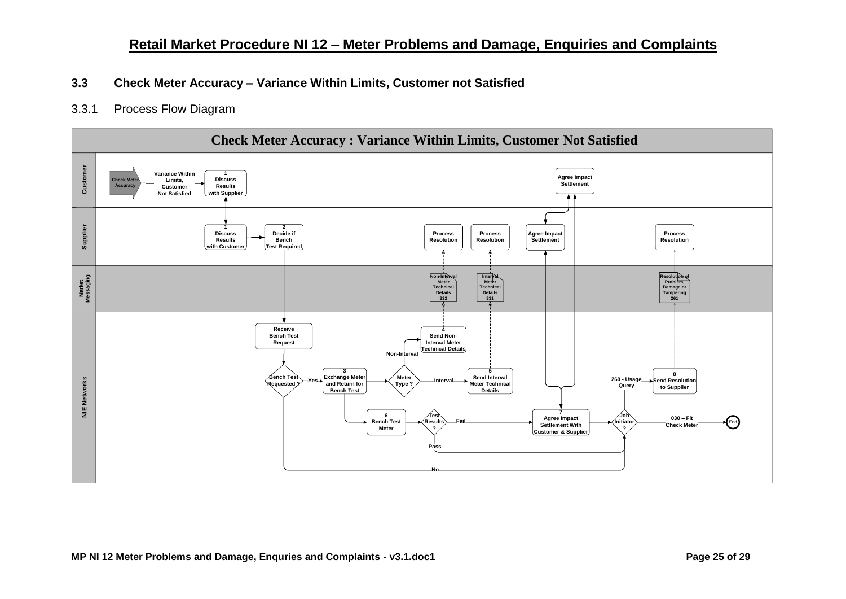#### <span id="page-24-0"></span>**3.3 Check Meter Accuracy – Variance Within Limits, Customer not Satisfied**

<span id="page-24-1"></span>3.3.1 Process Flow Diagram

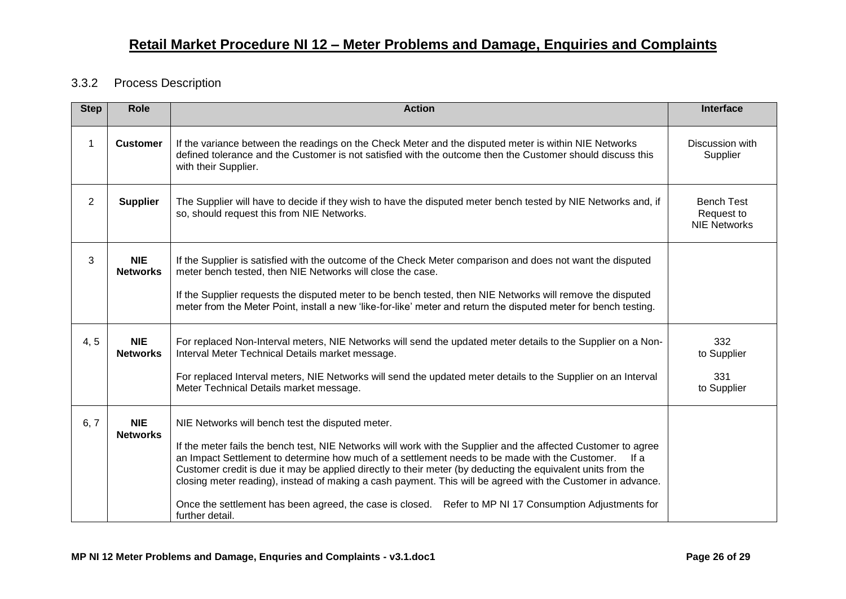#### <span id="page-25-0"></span>3.3.2 Process Description

| <b>Step</b>    | <b>Role</b>                   | <b>Action</b>                                                                                                                                                                                                                                                                                                                                                                                                                                                                                                                                                                                                         | <b>Interface</b>                                       |
|----------------|-------------------------------|-----------------------------------------------------------------------------------------------------------------------------------------------------------------------------------------------------------------------------------------------------------------------------------------------------------------------------------------------------------------------------------------------------------------------------------------------------------------------------------------------------------------------------------------------------------------------------------------------------------------------|--------------------------------------------------------|
| 1              | <b>Customer</b>               | If the variance between the readings on the Check Meter and the disputed meter is within NIE Networks<br>defined tolerance and the Customer is not satisfied with the outcome then the Customer should discuss this<br>with their Supplier.                                                                                                                                                                                                                                                                                                                                                                           | Discussion with<br>Supplier                            |
| $\overline{2}$ | <b>Supplier</b>               | The Supplier will have to decide if they wish to have the disputed meter bench tested by NIE Networks and, if<br>so, should request this from NIE Networks.                                                                                                                                                                                                                                                                                                                                                                                                                                                           | <b>Bench Test</b><br>Request to<br><b>NIE Networks</b> |
| 3              | <b>NIE</b><br><b>Networks</b> | If the Supplier is satisfied with the outcome of the Check Meter comparison and does not want the disputed<br>meter bench tested, then NIE Networks will close the case.                                                                                                                                                                                                                                                                                                                                                                                                                                              |                                                        |
|                |                               | If the Supplier requests the disputed meter to be bench tested, then NIE Networks will remove the disputed<br>meter from the Meter Point, install a new 'like-for-like' meter and return the disputed meter for bench testing.                                                                                                                                                                                                                                                                                                                                                                                        |                                                        |
| 4, 5           | <b>NIE</b><br><b>Networks</b> | For replaced Non-Interval meters, NIE Networks will send the updated meter details to the Supplier on a Non-<br>Interval Meter Technical Details market message.                                                                                                                                                                                                                                                                                                                                                                                                                                                      | 332<br>to Supplier                                     |
|                |                               | For replaced Interval meters, NIE Networks will send the updated meter details to the Supplier on an Interval<br>Meter Technical Details market message.                                                                                                                                                                                                                                                                                                                                                                                                                                                              | 331<br>to Supplier                                     |
| 6, 7           | <b>NIE</b><br><b>Networks</b> | NIE Networks will bench test the disputed meter.<br>If the meter fails the bench test, NIE Networks will work with the Supplier and the affected Customer to agree<br>an Impact Settlement to determine how much of a settlement needs to be made with the Customer.<br>lf a<br>Customer credit is due it may be applied directly to their meter (by deducting the equivalent units from the<br>closing meter reading), instead of making a cash payment. This will be agreed with the Customer in advance.<br>Once the settlement has been agreed, the case is closed. Refer to MP NI 17 Consumption Adjustments for |                                                        |
|                |                               | further detail.                                                                                                                                                                                                                                                                                                                                                                                                                                                                                                                                                                                                       |                                                        |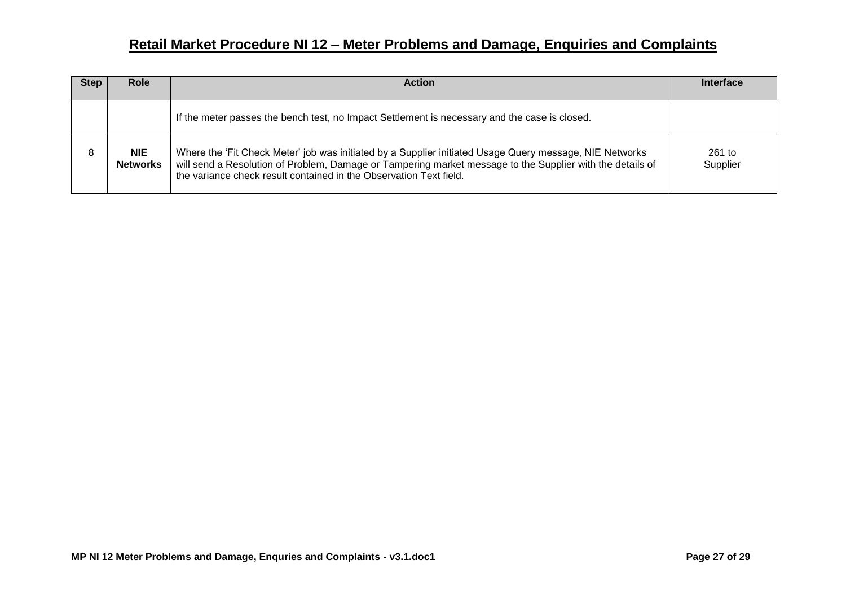| <b>Step</b> | <b>Role</b>                   | <b>Action</b>                                                                                                                                                                                                                                                                              | <b>Interface</b>     |
|-------------|-------------------------------|--------------------------------------------------------------------------------------------------------------------------------------------------------------------------------------------------------------------------------------------------------------------------------------------|----------------------|
|             |                               | If the meter passes the bench test, no Impact Settlement is necessary and the case is closed.                                                                                                                                                                                              |                      |
| 8           | <b>NIE</b><br><b>Networks</b> | Where the 'Fit Check Meter' job was initiated by a Supplier initiated Usage Query message, NIE Networks<br>will send a Resolution of Problem, Damage or Tampering market message to the Supplier with the details of<br>the variance check result contained in the Observation Text field. | $261$ to<br>Supplier |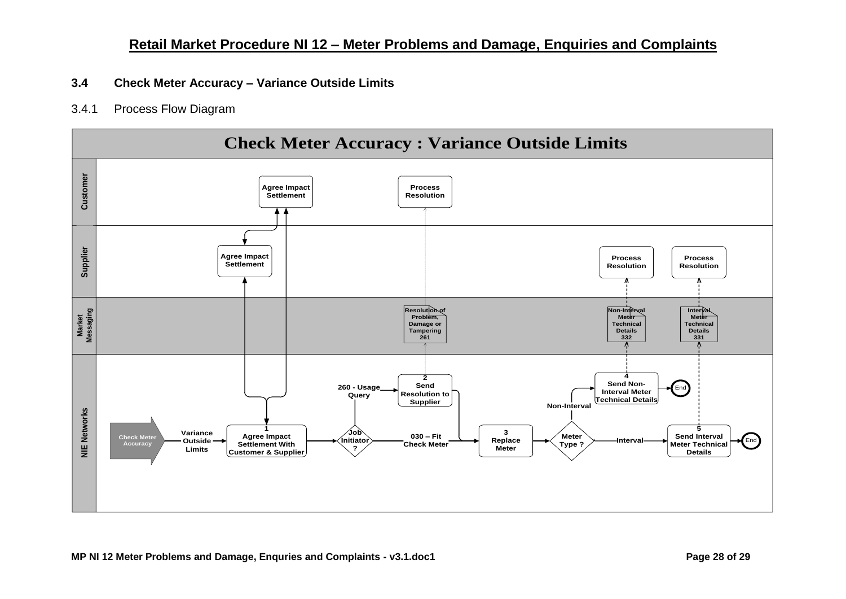#### <span id="page-27-0"></span>**3.4 Check Meter Accuracy – Variance Outside Limits**

#### <span id="page-27-1"></span>3.4.1 Process Flow Diagram